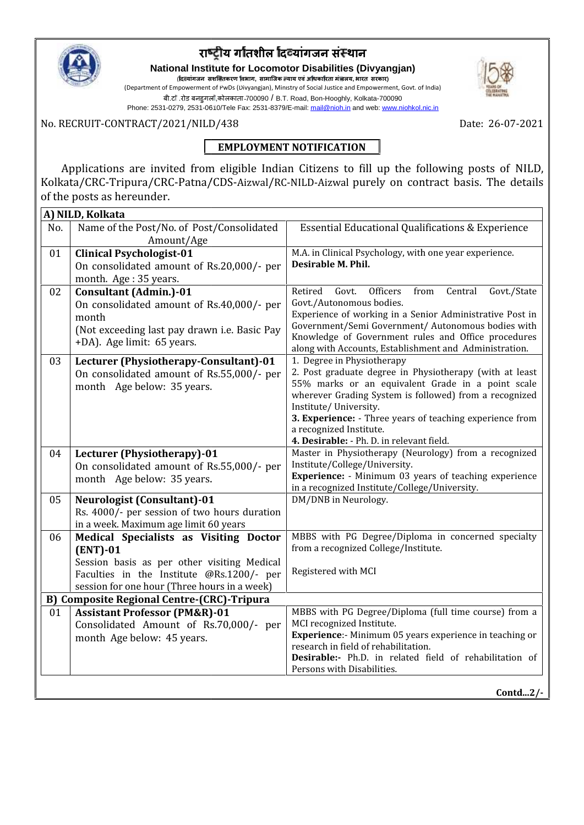

# **रा य ग तशील दयांगजन सं थान तशील**

**National Institute for Locomotor Disabilities (Divyangjan) Disabilities (Divyangjan)**( **द यांगजन सशि तकरण वभाग, सामािजक याय एवंअ धका रता मं ालय, भारत सरकार) सशितकरण,सामािजकालय,भारत**

(Department of Empowerment of PwDs (Divyangjan), Ministry of Social Justice and Empowerment, Govt. of India) Empowerment of बी.टा .रोड बनहुगला,कोलकाता-700090 / B.T. Road, Bon-Hooghly, Kolkata-700090

Phone: 2531-0279, 2531-0610/Tele Fax: 2531-8379/E-mail: mail@nioh.in and web: www.niohkol.nic.in

No. RECRUIT-CONTRACT/2021/NILD/438 Date: 26-07-2021 |

## **EMPLOYMENT NOTIFICATION**

Applications are invited from eligible Indian Citizens to fill up the following posts of NILD, Kolkata/CRC-Tripura/CRC-Patna/CDS-Aizwal/RC-NILD-Aizwal purely on contract basis. The details of the posts as hereunder. Applications are invited from eligible Indian Citizens to fill up the following pose<br>Kolkata/CRC-Tripura/CRC-Patna/CDS-Aizwal/RC-NILD-Aizwal purely on contract basis.<br>of the posts as hereunder.

|     | A) NILD, Kolkata                                                                                                                                                                                 |                                                                                                                                                                                                                                                                                                                                                                   |
|-----|--------------------------------------------------------------------------------------------------------------------------------------------------------------------------------------------------|-------------------------------------------------------------------------------------------------------------------------------------------------------------------------------------------------------------------------------------------------------------------------------------------------------------------------------------------------------------------|
| No. | Name of the Post/No. of Post/Consolidated<br>Amount/Age                                                                                                                                          | <b>Essential Educational Qualifications &amp; Experience</b>                                                                                                                                                                                                                                                                                                      |
| 01  | <b>Clinical Psychologist-01</b><br>On consolidated amount of Rs.20,000/- per<br>month. Age: 35 years.                                                                                            | M.A. in Clinical Psychology, with one year experience.<br>Desirable M. Phil.                                                                                                                                                                                                                                                                                      |
| 02  | <b>Consultant (Admin.)-01</b><br>On consolidated amount of Rs.40,000/- per<br>month<br>(Not exceeding last pay drawn i.e. Basic Pay<br>+DA). Age limit: 65 years.                                | Officers<br>Retired<br>Govt.<br>from<br>Central<br>Govt./State<br>Govt./Autonomous bodies.<br>Experience of working in a Senior Administrative Post in<br>Government/Semi Government/ Autonomous bodies with<br>Knowledge of Government rules and Office procedures<br>along with Accounts, Establishment and Administration.                                     |
| 03  | Lecturer (Physiotherapy-Consultant)-01<br>On consolidated amount of Rs.55,000/- per<br>month Age below: 35 years.                                                                                | 1. Degree in Physiotherapy<br>2. Post graduate degree in Physiotherapy (with at least<br>55% marks or an equivalent Grade in a point scale<br>wherever Grading System is followed) from a recognized<br>Institute/University.<br>3. Experience: - Three years of teaching experience from<br>a recognized Institute.<br>4. Desirable: - Ph. D. in relevant field. |
| 04  | Lecturer (Physiotherapy)-01<br>On consolidated amount of Rs.55,000/- per<br>month Age below: 35 years.                                                                                           | Master in Physiotherapy (Neurology) from a recognized<br>Institute/College/University.<br>Experience: - Minimum 03 years of teaching experience<br>in a recognized Institute/College/University.                                                                                                                                                                  |
| 05  | <b>Neurologist (Consultant)-01</b><br>Rs. 4000/- per session of two hours duration<br>in a week. Maximum age limit 60 years                                                                      | DM/DNB in Neurology.                                                                                                                                                                                                                                                                                                                                              |
| 06  | Medical Specialists as Visiting Doctor<br>$(ENT)-01$<br>Session basis as per other visiting Medical<br>Faculties in the Institute @Rs.1200/- per<br>session for one hour (Three hours in a week) | MBBS with PG Degree/Diploma in concerned specialty<br>from a recognized College/Institute.<br>Registered with MCI                                                                                                                                                                                                                                                 |
|     | <b>B) Composite Regional Centre-(CRC)-Tripura</b>                                                                                                                                                |                                                                                                                                                                                                                                                                                                                                                                   |
| 01  | <b>Assistant Professor (PM&amp;R)-01</b><br>Consolidated Amount of Rs.70,000/- per<br>month Age below: 45 years.                                                                                 | MBBS with PG Degree/Diploma (full time course) from a<br>MCI recognized Institute.<br>Experience:- Minimum 05 years experience in teaching or<br>research in field of rehabilitation.<br>Desirable:- Ph.D. in related field of rehabilitation of<br>Persons with Disabilities.                                                                                    |

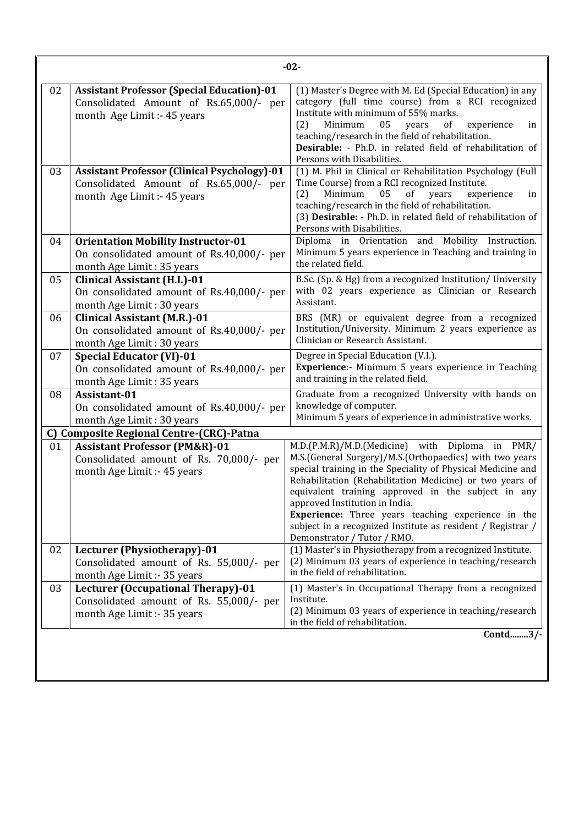| 02 | <b>Assistant Professor (Special Education)-01</b>                                | (1) Master's Degree with M. Ed (Special Education) in any                                                               |
|----|----------------------------------------------------------------------------------|-------------------------------------------------------------------------------------------------------------------------|
|    | Consolidated Amount of Rs.65,000/- per                                           | category (full time course) from a RCI recognized                                                                       |
|    | month Age Limit :- 45 years                                                      | Institute with minimum of 55% marks.<br>Minimum<br>05<br>years<br>experience<br>(2)<br>in                               |
|    |                                                                                  | of<br>teaching/research in the field of rehabilitation.                                                                 |
|    |                                                                                  | Desirable: - Ph.D. in related field of rehabilitation of                                                                |
|    |                                                                                  | Persons with Disabilities.                                                                                              |
| 03 | <b>Assistant Professor (Clinical Psychology)-01</b>                              | (1) M. Phil in Clinical or Rehabilitation Psychology (Full                                                              |
|    | Consolidated Amount of Rs.65,000/- per                                           | Time Course) from a RCI recognized Institute.                                                                           |
|    | month Age Limit :- 45 years                                                      | Minimum<br>of years<br>(2)<br>05<br>experience<br>in<br>teaching/research in the field of rehabilitation.               |
|    |                                                                                  | (3) Desirable: - Ph.D. in related field of rehabilitation of                                                            |
|    |                                                                                  | Persons with Disabilities.                                                                                              |
| 04 | <b>Orientation Mobility Instructor-01</b>                                        | Diploma in Orientation and Mobility Instruction.                                                                        |
|    | On consolidated amount of Rs.40,000/- per                                        | Minimum 5 years experience in Teaching and training in                                                                  |
|    | month Age Limit: 35 years                                                        | the related field.                                                                                                      |
| 05 | <b>Clinical Assistant (H.I.)-01</b>                                              | B.Sc. (Sp. & Hg) from a recognized Institution/ University                                                              |
|    | On consolidated amount of Rs.40,000/- per                                        | with 02 years experience as Clinician or Research<br><b>Assistant</b>                                                   |
|    | month Age Limit: 30 years                                                        | BRS (MR) or equivalent degree from a recognized                                                                         |
| 06 | <b>Clinical Assistant (M.R.)-01</b><br>On consolidated amount of Rs.40,000/- per | Institution/University. Minimum 2 years experience as                                                                   |
|    | month Age Limit: 30 years                                                        | Clinician or Research Assistant.                                                                                        |
| 07 | <b>Special Educator (VI)-01</b>                                                  | Degree in Special Education (V.I.).                                                                                     |
|    | On consolidated amount of Rs.40,000/- per                                        | Experience:- Minimum 5 years experience in Teaching                                                                     |
|    | month Age Limit: 35 years                                                        | and training in the related field.                                                                                      |
| 08 | Assistant-01                                                                     | Graduate from a recognized University with hands on                                                                     |
|    | On consolidated amount of Rs.40,000/- per                                        | knowledge of computer.                                                                                                  |
|    | month Age Limit: 30 years                                                        | Minimum 5 years of experience in administrative works.                                                                  |
|    | C) Composite Regional Centre-(CRC)-Patna                                         |                                                                                                                         |
| 01 | <b>Assistant Professor (PM&amp;R)-01</b>                                         | M.D.(P.M.R)/M.D.(Medicine) with Diploma in PMR/                                                                         |
|    | Consolidated amount of Rs. 70,000/- per                                          | M.S.(General Surgery)/M.S.(Orthopaedics) with two years                                                                 |
|    | month Age Limit :- 45 years                                                      | special training in the Speciality of Physical Medicine and<br>Rehabilitation (Rehabilitation Medicine) or two years of |
|    |                                                                                  | equivalent training approved in the subject in any                                                                      |
|    |                                                                                  | approved Institution in India.                                                                                          |
|    |                                                                                  | <b>Experience:</b> Three years teaching experience in the                                                               |
|    |                                                                                  | subject in a recognized Institute as resident / Registrar /                                                             |
| 02 | Lecturer (Physiotherapy)-01                                                      | Demonstrator / Tutor / RMO.<br>(1) Master's in Physiotherapy from a recognized Institute.                               |
|    | Consolidated amount of Rs. 55,000/- per                                          | (2) Minimum 03 years of experience in teaching/research                                                                 |
|    | month Age Limit :- 35 years                                                      | in the field of rehabilitation.                                                                                         |
| 03 | <b>Lecturer (Occupational Therapy)-01</b>                                        | (1) Master's in Occupational Therapy from a recognized                                                                  |
|    | Consolidated amount of Rs. 55,000/- per                                          | Institute.                                                                                                              |
|    | month Age Limit :- 35 years                                                      | (2) Minimum 03 years of experience in teaching/research                                                                 |
|    |                                                                                  | in the field of rehabilitation.                                                                                         |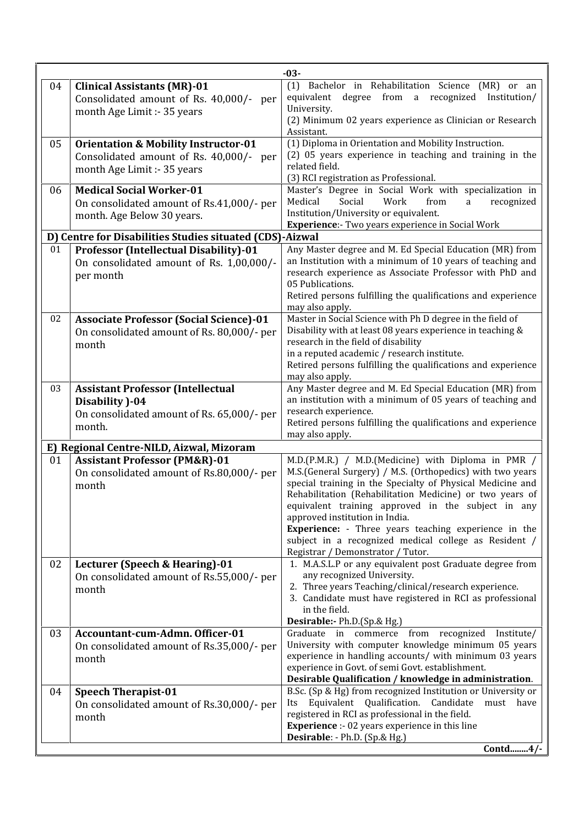|    |                                                                                                                           | $-03-$                                                                                                                                                                                                                                                                                                                                                                                                                                                                                          |
|----|---------------------------------------------------------------------------------------------------------------------------|-------------------------------------------------------------------------------------------------------------------------------------------------------------------------------------------------------------------------------------------------------------------------------------------------------------------------------------------------------------------------------------------------------------------------------------------------------------------------------------------------|
| 04 | <b>Clinical Assistants (MR)-01</b><br>Consolidated amount of Rs. 40,000/- per<br>month Age Limit :- 35 years              | Bachelor in Rehabilitation Science (MR) or an<br>(1)<br>equivalent degree from a recognized Institution/<br>University.<br>(2) Minimum 02 years experience as Clinician or Research<br>Assistant.                                                                                                                                                                                                                                                                                               |
| 05 | <b>Orientation &amp; Mobility Instructor-01</b><br>Consolidated amount of Rs. 40,000/- per<br>month Age Limit :- 35 years | (1) Diploma in Orientation and Mobility Instruction.<br>(2) 05 years experience in teaching and training in the<br>related field.<br>(3) RCI registration as Professional.                                                                                                                                                                                                                                                                                                                      |
| 06 | <b>Medical Social Worker-01</b><br>On consolidated amount of Rs.41,000/- per<br>month. Age Below 30 years.                | Master's Degree in Social Work with specialization in<br>Medical<br>recognized<br>Social<br>Work<br>from<br>a<br>Institution/University or equivalent.<br><b>Experience:-</b> Two years experience in Social Work                                                                                                                                                                                                                                                                               |
|    | D) Centre for Disabilities Studies situated (CDS)-Aizwal                                                                  |                                                                                                                                                                                                                                                                                                                                                                                                                                                                                                 |
| 01 | <b>Professor (Intellectual Disability)-01</b><br>On consolidated amount of Rs. 1,00,000/-<br>per month                    | Any Master degree and M. Ed Special Education (MR) from<br>an Institution with a minimum of 10 years of teaching and<br>research experience as Associate Professor with PhD and<br>05 Publications.<br>Retired persons fulfilling the qualifications and experience<br>may also apply.                                                                                                                                                                                                          |
| 02 | <b>Associate Professor (Social Science)-01</b><br>On consolidated amount of Rs. 80,000/- per<br>month                     | Master in Social Science with Ph D degree in the field of<br>Disability with at least 08 years experience in teaching &<br>research in the field of disability<br>in a reputed academic / research institute.<br>Retired persons fulfilling the qualifications and experience<br>may also apply.                                                                                                                                                                                                |
| 03 | <b>Assistant Professor (Intellectual</b><br>Disability )-04<br>On consolidated amount of Rs. 65,000/- per<br>month.       | Any Master degree and M. Ed Special Education (MR) from<br>an institution with a minimum of 05 years of teaching and<br>research experience.<br>Retired persons fulfilling the qualifications and experience<br>may also apply.                                                                                                                                                                                                                                                                 |
|    | E) Regional Centre-NILD, Aizwal, Mizoram                                                                                  |                                                                                                                                                                                                                                                                                                                                                                                                                                                                                                 |
| 01 | <b>Assistant Professor (PM&amp;R)-01</b><br>On consolidated amount of Rs.80,000/- per<br>month                            | M.D.(P.M.R.) / M.D.(Medicine) with Diploma in PMR /<br>M.S.(General Surgery) / M.S. (Orthopedics) with two years<br>special training in the Specialty of Physical Medicine and<br>Rehabilitation (Rehabilitation Medicine) or two years of<br>equivalent training approved in the subject in any<br>approved institution in India.<br><b>Experience:</b> - Three years teaching experience in the<br>subject in a recognized medical college as Resident /<br>Registrar / Demonstrator / Tutor. |
| 02 | Lecturer (Speech & Hearing)-01<br>On consolidated amount of Rs.55,000/- per<br>month                                      | 1. M.A.S.L.P or any equivalent post Graduate degree from<br>any recognized University.<br>2. Three years Teaching/clinical/research experience.<br>3. Candidate must have registered in RCI as professional<br>in the field.<br>Desirable:- Ph.D.(Sp.& Hg.)                                                                                                                                                                                                                                     |
| 03 | Accountant-cum-Admn. Officer-01<br>On consolidated amount of Rs.35,000/- per<br>month                                     | Graduate in commerce from recognized<br>Institute/<br>University with computer knowledge minimum 05 years<br>experience in handling accounts/ with minimum 03 years<br>experience in Govt. of semi Govt. establishment.<br>Desirable Qualification / knowledge in administration.                                                                                                                                                                                                               |
| 04 | <b>Speech Therapist-01</b><br>On consolidated amount of Rs.30,000/- per<br>month                                          | B.Sc. (Sp & Hg) from recognized Institution or University or<br>Equivalent Qualification. Candidate<br>must have<br>Its<br>registered in RCI as professional in the field.<br><b>Experience</b> :- 02 years experience in this line<br>Desirable: - Ph.D. (Sp.& Hg.)                                                                                                                                                                                                                            |
|    |                                                                                                                           | Contd4/-                                                                                                                                                                                                                                                                                                                                                                                                                                                                                        |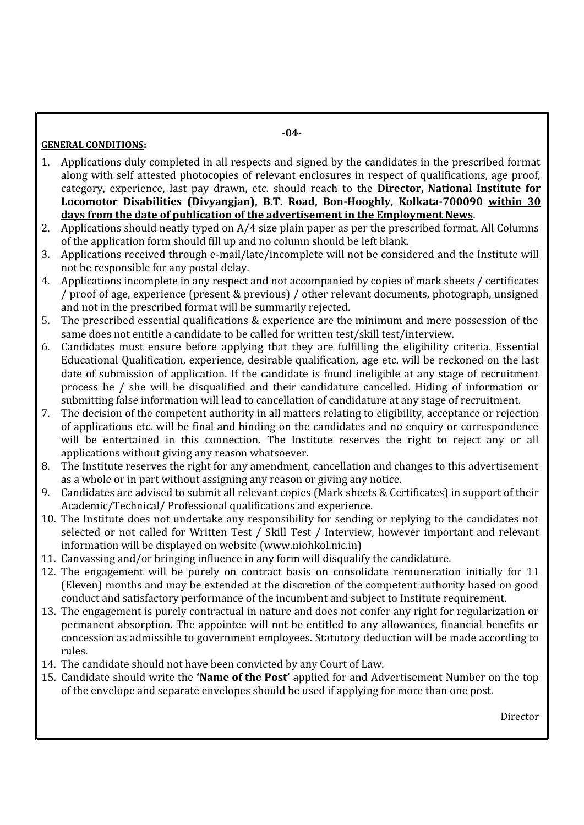### **GENERAL CONDITIONS:**

- 1. Applications duly completed in all respects and signed by the candidates in the prescribed format along with self attested photocopies of relevant enclosures in respect of qualifications, age proof, category, experience, last pay drawn, etc. should reach to the **Director, National Institute for Locomotor Disabilities (Divyangjan), B.T. Road, Bon-Hooghly, Kolkata-700090 within 30 days from the date of publication of the advertisement in the Employment News**.
- 2. Applications should neatly typed on A/4 size plain paper as per the prescribed format. All Columns of the application form should fill up and no column should be left blank.
- 3. Applications received through e-mail/late/incomplete will not be considered and the Institute will not be responsible for any postal delay.
- 4. Applications incomplete in any respect and not accompanied by copies of mark sheets / certificates / proof of age, experience (present & previous) / other relevant documents, photograph, unsigned and not in the prescribed format will be summarily rejected.
- 5. The prescribed essential qualifications & experience are the minimum and mere possession of the same does not entitle a candidate to be called for written test/skill test/interview.
- 6. Candidates must ensure before applying that they are fulfilling the eligibility criteria. Essential Educational Qualification, experience, desirable qualification, age etc. will be reckoned on the last date of submission of application. If the candidate is found ineligible at any stage of recruitment process he / she will be disqualified and their candidature cancelled. Hiding of information or submitting false information will lead to cancellation of candidature at any stage of recruitment.
- 7. The decision of the competent authority in all matters relating to eligibility, acceptance or rejection of applications etc. will be final and binding on the candidates and no enquiry or correspondence will be entertained in this connection. The Institute reserves the right to reject any or all applications without giving any reason whatsoever.
- 8. The Institute reserves the right for any amendment, cancellation and changes to this advertisement as a whole or in part without assigning any reason or giving any notice.
- 9. Candidates are advised to submit all relevant copies (Mark sheets & Certificates) in support of their Academic/Technical/ Professional qualifications and experience.
- 10. The Institute does not undertake any responsibility for sending or replying to the candidates not selected or not called for Written Test / Skill Test / Interview, however important and relevant information will be displayed on website (www.niohkol.nic.in)
- 11. Canvassing and/or bringing influence in any form will disqualify the candidature.
- 12. The engagement will be purely on contract basis on consolidate remuneration initially for 11 (Eleven) months and may be extended at the discretion of the competent authority based on good conduct and satisfactory performance of the incumbent and subject to Institute requirement.
- 13. The engagement is purely contractual in nature and does not confer any right for regularization or permanent absorption. The appointee will not be entitled to any allowances, financial benefits or concession as admissible to government employees. Statutory deduction will be made according to rules.
- 14. The candidate should not have been convicted by any Court of Law.
- 15. Candidate should write the **'Name of the Post'** applied for and Advertisement Number on the top of the envelope and separate envelopes should be used if applying for more than one post.

Director

**-04-**